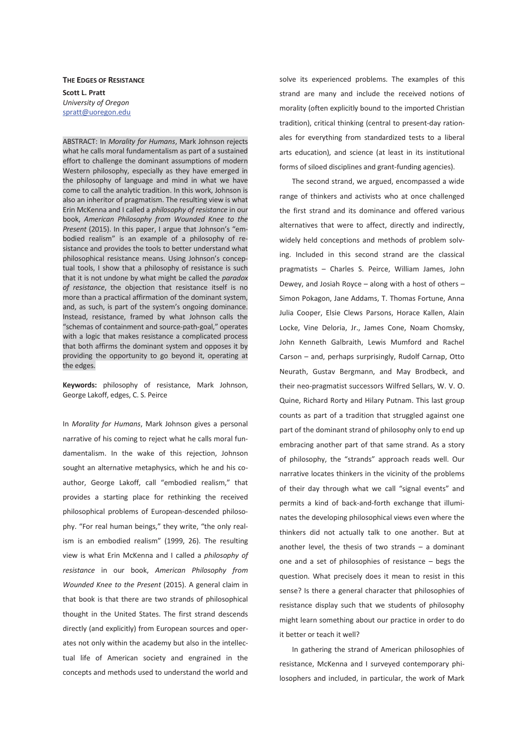**THE EDGES OF RESISTANCE Scott L. Pratt**  *University of Oregon*  spratt@uoregon.edu

ABSTRACT: In *Morality for Humans*, Mark Johnson rejects what he calls moral fundamentalism as part of a sustained effort to challenge the dominant assumptions of modern Western philosophy, especially as they have emerged in the philosophy of language and mind in what we have come to call the analytic tradition. In this work, Johnson is also an inheritor of pragmatism. The resulting view is what Erin McKenna and I called a *philosophy of resistance* in our book, *American Philosophy from Wounded Knee to the Present* (2015). In this paper, I argue that Johnson's "embodied realism" is an example of a philosophy of resistance and provides the tools to better understand what philosophical resistance means. Using Johnson's conceptual tools, I show that a philosophy of resistance is such that it is not undone by what might be called the *paradox of resistance*, the objection that resistance itself is no more than a practical affirmation of the dominant system, and, as such, is part of the system's ongoing dominance. Instead, resistance, framed by what Johnson calls the "schemas of containment and source-path-goal," operates with a logic that makes resistance a complicated process that both affirms the dominant system and opposes it by providing the opportunity to go beyond it, operating at the edges.

**Keywords:** philosophy of resistance, Mark Johnson, George Lakoff, edges, C. S. Peirce

In *Morality for Humans*, Mark Johnson gives a personal narrative of his coming to reject what he calls moral fundamentalism. In the wake of this rejection, Johnson sought an alternative metaphysics, which he and his coauthor, George Lakoff, call "embodied realism," that provides a starting place for rethinking the received philosophical problems of European-descended philosophy. "For real human beings," they write, "the only realism is an embodied realism" (1999, 26). The resulting view is what Erin McKenna and I called a *philosophy of resistance* in our book, *American Philosophy from Wounded Knee to the Present* (2015). A general claim in that book is that there are two strands of philosophical thought in the United States. The first strand descends directly (and explicitly) from European sources and operates not only within the academy but also in the intellectual life of American society and engrained in the concepts and methods used to understand the world and

solve its experienced problems. The examples of this strand are many and include the received notions of morality (often explicitly bound to the imported Christian tradition), critical thinking (central to present-day rationales for everything from standardized tests to a liberal arts education), and science (at least in its institutional forms of siloed disciplines and grant-funding agencies).

The second strand, we argued, encompassed a wide range of thinkers and activists who at once challenged the first strand and its dominance and offered various alternatives that were to affect, directly and indirectly, widely held conceptions and methods of problem solving. Included in this second strand are the classical pragmatists – Charles S. Peirce, William James, John Dewey, and Josiah Royce – along with a host of others – Simon Pokagon, Jane Addams, T. Thomas Fortune, Anna Julia Cooper, Elsie Clews Parsons, Horace Kallen, Alain Locke, Vine Deloria, Jr., James Cone, Noam Chomsky, John Kenneth Galbraith, Lewis Mumford and Rachel Carson – and, perhaps surprisingly, Rudolf Carnap, Otto Neurath, Gustav Bergmann, and May Brodbeck, and their neo-pragmatist successors Wilfred Sellars, W. V. O. Quine, Richard Rorty and Hilary Putnam. This last group counts as part of a tradition that struggled against one part of the dominant strand of philosophy only to end up embracing another part of that same strand. As a story of philosophy, the "strands" approach reads well. Our narrative locates thinkers in the vicinity of the problems of their day through what we call "signal events" and permits a kind of back-and-forth exchange that illuminates the developing philosophical views even where the thinkers did not actually talk to one another. But at another level, the thesis of two strands  $-$  a dominant one and a set of philosophies of resistance – begs the question. What precisely does it mean to resist in this sense? Is there a general character that philosophies of resistance display such that we students of philosophy might learn something about our practice in order to do it better or teach it well?

In gathering the strand of American philosophies of resistance, McKenna and I surveyed contemporary philosophers and included, in particular, the work of Mark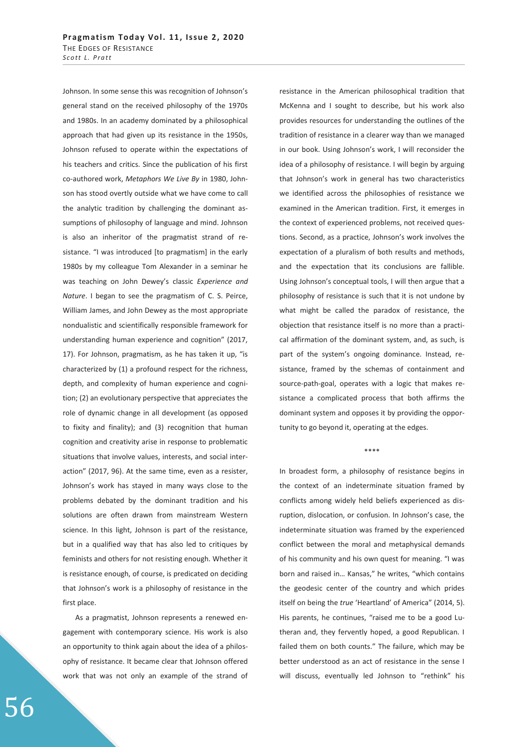Johnson. In some sense this was recognition of Johnson's general stand on the received philosophy of the 1970s and 1980s. In an academy dominated by a philosophical approach that had given up its resistance in the 1950s, Johnson refused to operate within the expectations of his teachers and critics. Since the publication of his first co-authored work, *Metaphors We Live By* in 1980, Johnson has stood overtly outside what we have come to call the analytic tradition by challenging the dominant assumptions of philosophy of language and mind. Johnson is also an inheritor of the pragmatist strand of resistance. "I was introduced [to pragmatism] in the early 1980s by my colleague Tom Alexander in a seminar he was teaching on John Dewey's classic *Experience and Nature*. I began to see the pragmatism of C. S. Peirce, William James, and John Dewey as the most appropriate nondualistic and scientifically responsible framework for understanding human experience and cognition" (2017, 17). For Johnson, pragmatism, as he has taken it up, "is characterized by (1) a profound respect for the richness, depth, and complexity of human experience and cognition; (2) an evolutionary perspective that appreciates the role of dynamic change in all development (as opposed to fixity and finality); and (3) recognition that human cognition and creativity arise in response to problematic situations that involve values, interests, and social interaction" (2017, 96). At the same time, even as a resister, Johnson's work has stayed in many ways close to the problems debated by the dominant tradition and his solutions are often drawn from mainstream Western science. In this light, Johnson is part of the resistance, but in a qualified way that has also led to critiques by feminists and others for not resisting enough. Whether it is resistance enough, of course, is predicated on deciding that Johnson's work is a philosophy of resistance in the first place.

As a pragmatist, Johnson represents a renewed engagement with contemporary science. His work is also an opportunity to think again about the idea of a philosophy of resistance. It became clear that Johnson offered work that was not only an example of the strand of

resistance in the American philosophical tradition that McKenna and I sought to describe, but his work also provides resources for understanding the outlines of the tradition of resistance in a clearer way than we managed in our book. Using Johnson's work, I will reconsider the idea of a philosophy of resistance. I will begin by arguing that Johnson's work in general has two characteristics we identified across the philosophies of resistance we examined in the American tradition. First, it emerges in the context of experienced problems, not received questions. Second, as a practice, Johnson's work involves the expectation of a pluralism of both results and methods, and the expectation that its conclusions are fallible. Using Johnson's conceptual tools, I will then argue that a philosophy of resistance is such that it is not undone by what might be called the paradox of resistance, the objection that resistance itself is no more than a practical affirmation of the dominant system, and, as such, is part of the system's ongoing dominance. Instead, resistance, framed by the schemas of containment and source-path-goal, operates with a logic that makes resistance a complicated process that both affirms the dominant system and opposes it by providing the opportunity to go beyond it, operating at the edges.

## \*\*\*\*

In broadest form, a philosophy of resistance begins in the context of an indeterminate situation framed by conflicts among widely held beliefs experienced as disruption, dislocation, or confusion. In Johnson's case, the indeterminate situation was framed by the experienced conflict between the moral and metaphysical demands of his community and his own quest for meaning. "I was born and raised in… Kansas," he writes, "which contains the geodesic center of the country and which prides itself on being the *true* 'Heartland' of America" (2014, 5). His parents, he continues, "raised me to be a good Lutheran and, they fervently hoped, a good Republican. I failed them on both counts." The failure, which may be better understood as an act of resistance in the sense I will discuss, eventually led Johnson to "rethink" his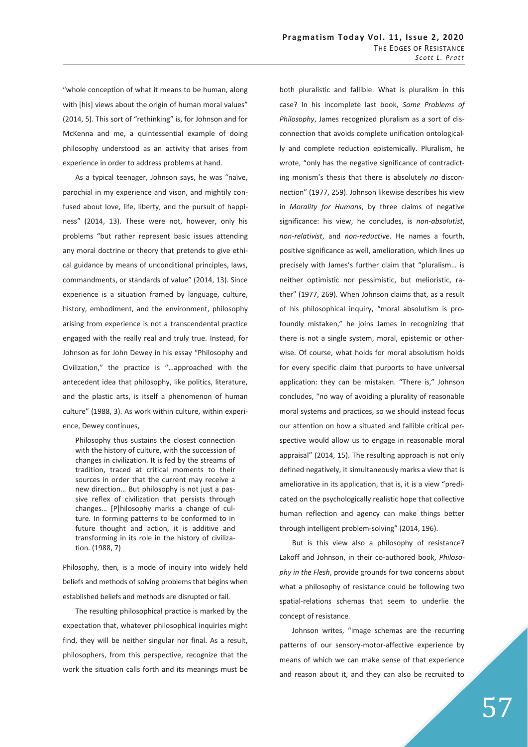"whole conception of what it means to be human, along with [his] views about the origin of human moral values" (2014, 5). This sort of "rethinking" is, for Johnson and for McKenna and me, a quintessential example of doing philosophy understood as an activity that arises from experience in order to address problems at hand.

As a typical teenager, Johnson says, he was "naïve, parochial in my experience and vison, and mightily confused about love, life, liberty, and the pursuit of happiness" (2014, 13). These were not, however, only his problems "but rather represent basic issues attending any moral doctrine or theory that pretends to give ethical guidance by means of unconditional principles, laws, commandments, or standards of value" (2014, 13). Since experience is a situation framed by language, culture, history, embodiment, and the environment, philosophy arising from experience is not a transcendental practice engaged with the really real and truly true. Instead, for Johnson as for John Dewey in his essay "Philosophy and Civilization," the practice is "…approached with the antecedent idea that philosophy, like politics, literature, and the plastic arts, is itself a phenomenon of human culture" (1988, 3). As work within culture, within experience, Dewey continues,

Philosophy thus sustains the closest connection with the history of culture, with the succession of changes in civilization. It is fed by the streams of tradition, traced at critical moments to their sources in order that the current may receive a new direction… But philosophy is not just a passive reflex of civilization that persists through changes… [P]hilosophy marks a change of culture. In forming patterns to be conformed to in future thought and action, it is additive and transforming in its role in the history of civilization. (1988, 7)

Philosophy, then, is a mode of inquiry into widely held beliefs and methods of solving problems that begins when established beliefs and methods are disrupted or fail.

The resulting philosophical practice is marked by the expectation that, whatever philosophical inquiries might find, they will be neither singular nor final. As a result, philosophers, from this perspective, recognize that the work the situation calls forth and its meanings must be

both pluralistic and fallible. What is pluralism in this case? In his incomplete last book, *Some Problems of Philosophy*, James recognized pluralism as a sort of disconnection that avoids complete unification ontologically and complete reduction epistemically. Pluralism, he wrote, "only has the negative significance of contradicting monism's thesis that there is absolutely *no* disconnection" (1977, 259). Johnson likewise describes his view in *Morality for Humans*, by three claims of negative significance: his view, he concludes, is *non-absolutist*, *non-relativist*, and *non-reductive*. He names a fourth, positive significance as well, amelioration, which lines up precisely with James's further claim that "pluralism… is neither optimistic nor pessimistic, but melioristic, rather" (1977, 269). When Johnson claims that, as a result of his philosophical inquiry, "moral absolutism is profoundly mistaken," he joins James in recognizing that there is not a single system, moral, epistemic or otherwise. Of course, what holds for moral absolutism holds for every specific claim that purports to have universal application: they can be mistaken. "There is," Johnson concludes, "no way of avoiding a plurality of reasonable moral systems and practices, so we should instead focus our attention on how a situated and fallible critical perspective would allow us to engage in reasonable moral appraisal" (2014, 15). The resulting approach is not only defined negatively, it simultaneously marks a view that is ameliorative in its application, that is, it is a view "predicated on the psychologically realistic hope that collective human reflection and agency can make things better through intelligent problem-solving" (2014, 196).

But is this view also a philosophy of resistance? Lakoff and Johnson, in their co-authored book, *Philosophy in the Flesh*, provide grounds for two concerns about what a philosophy of resistance could be following two spatial-relations schemas that seem to underlie the concept of resistance.

Johnson writes, "image schemas are the recurring patterns of our sensory-motor-affective experience by means of which we can make sense of that experience and reason about it, and they can also be recruited to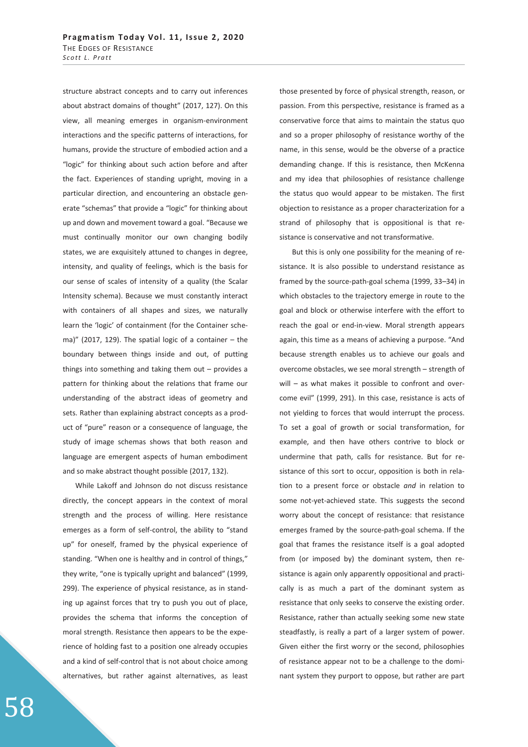structure abstract concepts and to carry out inferences about abstract domains of thought" (2017, 127). On this view, all meaning emerges in organism-environment interactions and the specific patterns of interactions, for humans, provide the structure of embodied action and a "logic" for thinking about such action before and after the fact. Experiences of standing upright, moving in a particular direction, and encountering an obstacle generate "schemas" that provide a "logic" for thinking about up and down and movement toward a goal. "Because we must continually monitor our own changing bodily states, we are exquisitely attuned to changes in degree, intensity, and quality of feelings, which is the basis for our sense of scales of intensity of a quality (the Scalar Intensity schema). Because we must constantly interact with containers of all shapes and sizes, we naturally learn the 'logic' of containment (for the Container schema)" (2017, 129). The spatial logic of a container  $-$  the boundary between things inside and out, of putting things into something and taking them out – provides a pattern for thinking about the relations that frame our understanding of the abstract ideas of geometry and sets. Rather than explaining abstract concepts as a product of "pure" reason or a consequence of language, the study of image schemas shows that both reason and language are emergent aspects of human embodiment and so make abstract thought possible (2017, 132).

While Lakoff and Johnson do not discuss resistance directly, the concept appears in the context of moral strength and the process of willing. Here resistance emerges as a form of self-control, the ability to "stand up" for oneself, framed by the physical experience of standing. "When one is healthy and in control of things," they write, "one is typically upright and balanced" (1999, 299). The experience of physical resistance, as in standing up against forces that try to push you out of place, provides the schema that informs the conception of moral strength. Resistance then appears to be the experience of holding fast to a position one already occupies and a kind of self-control that is not about choice among alternatives, but rather against alternatives, as least

those presented by force of physical strength, reason, or passion. From this perspective, resistance is framed as a conservative force that aims to maintain the status quo and so a proper philosophy of resistance worthy of the name, in this sense, would be the obverse of a practice demanding change. If this is resistance, then McKenna and my idea that philosophies of resistance challenge the status quo would appear to be mistaken. The first objection to resistance as a proper characterization for a strand of philosophy that is oppositional is that resistance is conservative and not transformative.

But this is only one possibility for the meaning of resistance. It is also possible to understand resistance as framed by the source-path-goal schema (1999, 33–34) in which obstacles to the trajectory emerge in route to the goal and block or otherwise interfere with the effort to reach the goal or end-in-view. Moral strength appears again, this time as a means of achieving a purpose. "And because strength enables us to achieve our goals and overcome obstacles, we see moral strength – strength of will – as what makes it possible to confront and overcome evil" (1999, 291). In this case, resistance is acts of not yielding to forces that would interrupt the process. To set a goal of growth or social transformation, for example, and then have others contrive to block or undermine that path, calls for resistance. But for resistance of this sort to occur, opposition is both in relation to a present force or obstacle *and* in relation to some not-yet-achieved state. This suggests the second worry about the concept of resistance: that resistance emerges framed by the source-path-goal schema. If the goal that frames the resistance itself is a goal adopted from (or imposed by) the dominant system, then resistance is again only apparently oppositional and practically is as much a part of the dominant system as resistance that only seeks to conserve the existing order. Resistance, rather than actually seeking some new state steadfastly, is really a part of a larger system of power. Given either the first worry or the second, philosophies of resistance appear not to be a challenge to the dominant system they purport to oppose, but rather are part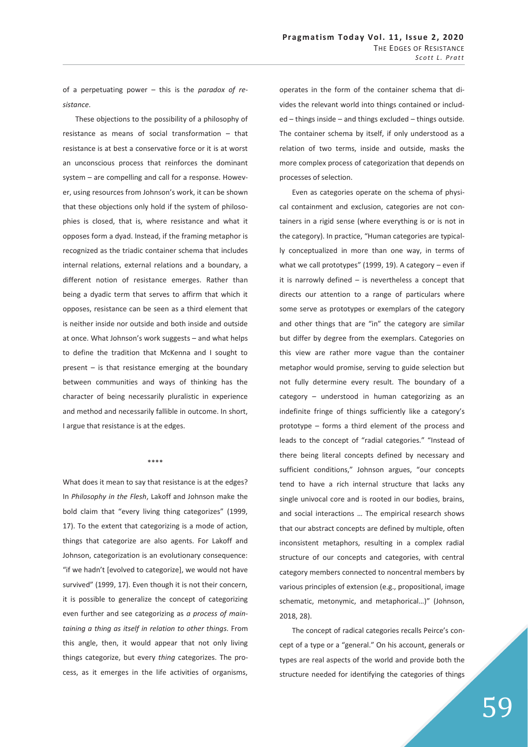of a perpetuating power – this is the *paradox of resistance*.

These objections to the possibility of a philosophy of resistance as means of social transformation – that resistance is at best a conservative force or it is at worst an unconscious process that reinforces the dominant system – are compelling and call for a response. However, using resources from Johnson's work, it can be shown that these objections only hold if the system of philosophies is closed, that is, where resistance and what it opposes form a dyad. Instead, if the framing metaphor is recognized as the triadic container schema that includes internal relations, external relations and a boundary, a different notion of resistance emerges. Rather than being a dyadic term that serves to affirm that which it opposes, resistance can be seen as a third element that is neither inside nor outside and both inside and outside at once. What Johnson's work suggests – and what helps to define the tradition that McKenna and I sought to present – is that resistance emerging at the boundary between communities and ways of thinking has the character of being necessarily pluralistic in experience and method and necessarily fallible in outcome. In short, I argue that resistance is at the edges.

## \*\*\*\*

What does it mean to say that resistance is at the edges? In *Philosophy in the Flesh*, Lakoff and Johnson make the bold claim that "every living thing categorizes" (1999, 17). To the extent that categorizing is a mode of action, things that categorize are also agents. For Lakoff and Johnson, categorization is an evolutionary consequence: "if we hadn't [evolved to categorize], we would not have survived" (1999, 17). Even though it is not their concern, it is possible to generalize the concept of categorizing even further and see categorizing as *a process of maintaining a thing as itself in relation to other things*. From this angle, then, it would appear that not only living things categorize, but every *thing* categorizes. The process, as it emerges in the life activities of organisms,

operates in the form of the container schema that divides the relevant world into things contained or included – things inside – and things excluded – things outside. The container schema by itself, if only understood as a relation of two terms, inside and outside, masks the more complex process of categorization that depends on processes of selection.

Even as categories operate on the schema of physical containment and exclusion, categories are not containers in a rigid sense (where everything is or is not in the category). In practice, "Human categories are typically conceptualized in more than one way, in terms of what we call prototypes" (1999, 19). A category – even if it is narrowly defined – is nevertheless a concept that directs our attention to a range of particulars where some serve as prototypes or exemplars of the category and other things that are "in" the category are similar but differ by degree from the exemplars. Categories on this view are rather more vague than the container metaphor would promise, serving to guide selection but not fully determine every result. The boundary of a category – understood in human categorizing as an indefinite fringe of things sufficiently like a category's prototype – forms a third element of the process and leads to the concept of "radial categories." "Instead of there being literal concepts defined by necessary and sufficient conditions," Johnson argues, "our concepts tend to have a rich internal structure that lacks any single univocal core and is rooted in our bodies, brains, and social interactions … The empirical research shows that our abstract concepts are defined by multiple, often inconsistent metaphors, resulting in a complex radial structure of our concepts and categories, with central category members connected to noncentral members by various principles of extension (e.g., propositional, image schematic, metonymic, and metaphorical…)" (Johnson, 2018, 28).

The concept of radical categories recalls Peirce's concept of a type or a "general." On his account, generals or types are real aspects of the world and provide both the structure needed for identifying the categories of things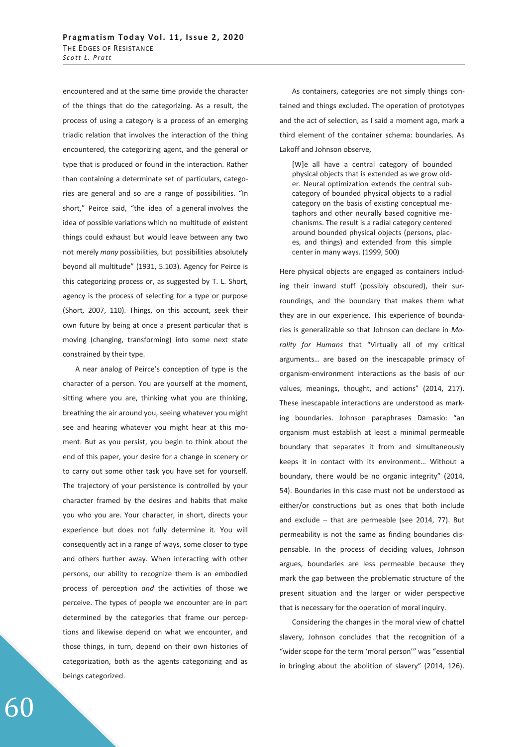encountered and at the same time provide the character of the things that do the categorizing. As a result, the process of using a category is a process of an emerging triadic relation that involves the interaction of the thing encountered, the categorizing agent, and the general or type that is produced or found in the interaction. Rather than containing a determinate set of particulars, categories are general and so are a range of possibilities. "In short," Peirce said, "the idea of a general involves the idea of possible variations which no multitude of existent things could exhaust but would leave between any two not merely *many* possibilities, but possibilities absolutely beyond all multitude" (1931, 5.103). Agency for Peirce is this categorizing process or, as suggested by T. L. Short, agency is the process of selecting for a type or purpose (Short, 2007, 110). Things, on this account, seek their own future by being at once a present particular that is moving (changing, transforming) into some next state constrained by their type.

A near analog of Peirce's conception of type is the character of a person. You are yourself at the moment, sitting where you are, thinking what you are thinking, breathing the air around you, seeing whatever you might see and hearing whatever you might hear at this moment. But as you persist, you begin to think about the end of this paper, your desire for a change in scenery or to carry out some other task you have set for yourself. The trajectory of your persistence is controlled by your character framed by the desires and habits that make you who you are. Your character, in short, directs your experience but does not fully determine it. You will consequently act in a range of ways, some closer to type and others further away. When interacting with other persons, our ability to recognize them is an embodied process of perception *and* the activities of those we perceive. The types of people we encounter are in part determined by the categories that frame our perceptions and likewise depend on what we encounter, and those things, in turn, depend on their own histories of categorization, both as the agents categorizing and as beings categorized.

As containers, categories are not simply things contained and things excluded. The operation of prototypes and the act of selection, as I said a moment ago, mark a third element of the container schema: boundaries. As Lakoff and Johnson observe,

[W]e all have a central category of bounded physical objects that is extended as we grow older. Neural optimization extends the central subcategory of bounded physical objects to a radial category on the basis of existing conceptual metaphors and other neurally based cognitive mechanisms. The result is a radial category centered around bounded physical objects (persons, places, and things) and extended from this simple center in many ways. (1999, 500)

Here physical objects are engaged as containers including their inward stuff (possibly obscured), their surroundings, and the boundary that makes them what they are in our experience. This experience of boundaries is generalizable so that Johnson can declare in *Morality for Humans* that "Virtually all of my critical arguments… are based on the inescapable primacy of organism-environment interactions as the basis of our values, meanings, thought, and actions" (2014, 217). These inescapable interactions are understood as marking boundaries. Johnson paraphrases Damasio: "an organism must establish at least a minimal permeable boundary that separates it from and simultaneously keeps it in contact with its environment… Without a boundary, there would be no organic integrity" (2014, 54). Boundaries in this case must not be understood as either/or constructions but as ones that both include and exclude – that are permeable (see 2014, 77). But permeability is not the same as finding boundaries dispensable. In the process of deciding values, Johnson argues, boundaries are less permeable because they mark the gap between the problematic structure of the present situation and the larger or wider perspective that is necessary for the operation of moral inquiry.

Considering the changes in the moral view of chattel slavery, Johnson concludes that the recognition of a "wider scope for the term 'moral person'" was "essential in bringing about the abolition of slavery" (2014, 126).

60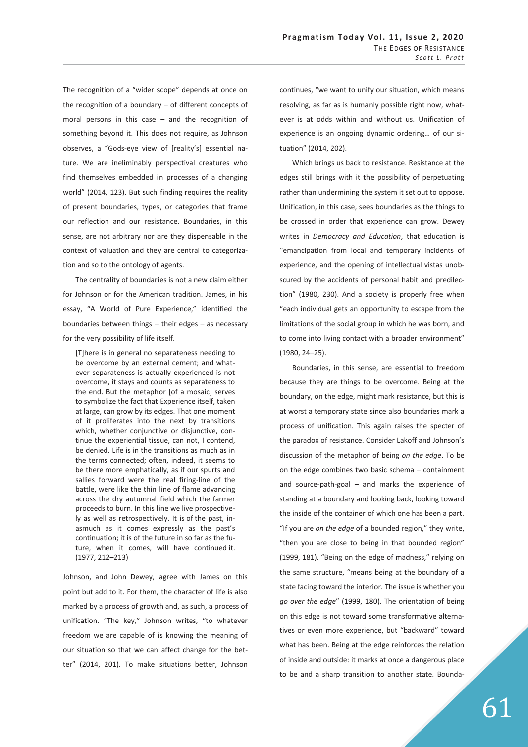The recognition of a "wider scope" depends at once on the recognition of a boundary – of different concepts of moral persons in this case – and the recognition of something beyond it. This does not require, as Johnson observes, a "Gods-eye view of [reality's] essential nature. We are ineliminably perspectival creatures who find themselves embedded in processes of a changing world" (2014, 123). But such finding requires the reality of present boundaries, types, or categories that frame our reflection and our resistance. Boundaries, in this sense, are not arbitrary nor are they dispensable in the context of valuation and they are central to categorization and so to the ontology of agents.

The centrality of boundaries is not a new claim either for Johnson or for the American tradition. James, in his essay, "A World of Pure Experience," identified the boundaries between things – their edges – as necessary for the very possibility of life itself.

[T]here is in general no separateness needing to be overcome by an external cement; and whatever separateness is actually experienced is not overcome, it stays and counts as separateness to the end. But the metaphor [of a mosaic] serves to symbolize the fact that Experience itself, taken at large, can grow by its edges. That one moment of it proliferates into the next by transitions which, whether conjunctive or disjunctive, continue the experiential tissue, can not, I contend, be denied. Life is in the transitions as much as in the terms connected; often, indeed, it seems to be there more emphatically, as if our spurts and sallies forward were the real firing-line of the battle, were like the thin line of flame advancing across the dry autumnal field which the farmer proceeds to burn. In this line we live prospectively as well as retrospectively. It is of the past, inasmuch as it comes expressly as the past's continuation; it is of the future in so far as the future, when it comes, will have continued it. (1977, 212–213)

Johnson, and John Dewey, agree with James on this point but add to it. For them, the character of life is also marked by a process of growth and, as such, a process of unification. "The key," Johnson writes, "to whatever freedom we are capable of is knowing the meaning of our situation so that we can affect change for the better" (2014, 201). To make situations better, Johnson

continues, "we want to unify our situation, which means resolving, as far as is humanly possible right now, whatever is at odds within and without us. Unification of experience is an ongoing dynamic ordering… of our situation" (2014, 202).

Which brings us back to resistance. Resistance at the edges still brings with it the possibility of perpetuating rather than undermining the system it set out to oppose. Unification, in this case, sees boundaries as the things to be crossed in order that experience can grow. Dewey writes in *Democracy and Education*, that education is "emancipation from local and temporary incidents of experience, and the opening of intellectual vistas unobscured by the accidents of personal habit and predilection" (1980, 230). And a society is properly free when "each individual gets an opportunity to escape from the limitations of the social group in which he was born, and to come into living contact with a broader environment" (1980, 24–25).

Boundaries, in this sense, are essential to freedom because they are things to be overcome. Being at the boundary, on the edge, might mark resistance, but this is at worst a temporary state since also boundaries mark a process of unification. This again raises the specter of the paradox of resistance. Consider Lakoff and Johnson's discussion of the metaphor of being *on the edge*. To be on the edge combines two basic schema – containment and source-path-goal – and marks the experience of standing at a boundary and looking back, looking toward the inside of the container of which one has been a part. "If you are *on the edge* of a bounded region," they write, "then you are close to being in that bounded region" (1999, 181). "Being on the edge of madness," relying on the same structure, "means being at the boundary of a state facing toward the interior. The issue is whether you *go over the edge*" (1999, 180). The orientation of being on this edge is not toward some transformative alternatives or even more experience, but "backward" toward what has been. Being at the edge reinforces the relation of inside and outside: it marks at once a dangerous place to be and a sharp transition to another state. Bounda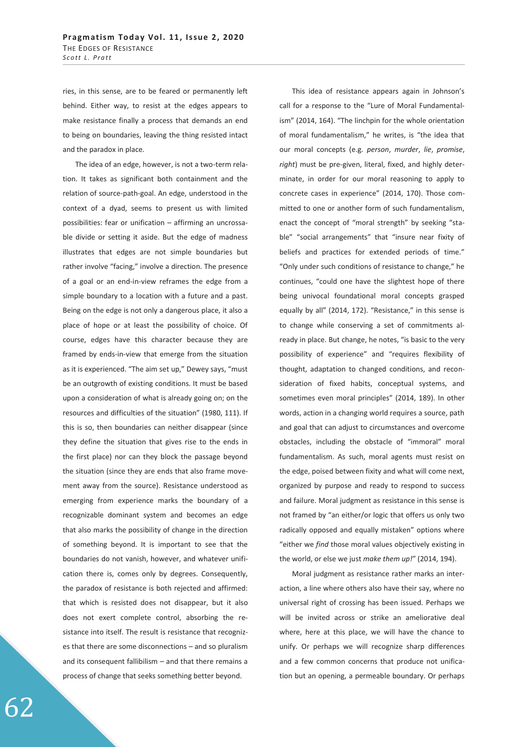ries, in this sense, are to be feared or permanently left behind. Either way, to resist at the edges appears to make resistance finally a process that demands an end to being on boundaries, leaving the thing resisted intact and the paradox in place.

The idea of an edge, however, is not a two-term relation. It takes as significant both containment and the relation of source-path-goal. An edge, understood in the context of a dyad, seems to present us with limited possibilities: fear or unification – affirming an uncrossable divide or setting it aside. But the edge of madness illustrates that edges are not simple boundaries but rather involve "facing," involve a direction. The presence of a goal or an end-in-view reframes the edge from a simple boundary to a location with a future and a past. Being on the edge is not only a dangerous place, it also a place of hope or at least the possibility of choice. Of course, edges have this character because they are framed by ends-in-view that emerge from the situation as it is experienced. "The aim set up," Dewey says, "must be an outgrowth of existing conditions. It must be based upon a consideration of what is already going on; on the resources and difficulties of the situation" (1980, 111). If this is so, then boundaries can neither disappear (since they define the situation that gives rise to the ends in the first place) nor can they block the passage beyond the situation (since they are ends that also frame movement away from the source). Resistance understood as emerging from experience marks the boundary of a recognizable dominant system and becomes an edge that also marks the possibility of change in the direction of something beyond. It is important to see that the boundaries do not vanish, however, and whatever unification there is, comes only by degrees. Consequently, the paradox of resistance is both rejected and affirmed: that which is resisted does not disappear, but it also does not exert complete control, absorbing the resistance into itself. The result is resistance that recognizes that there are some disconnections – and so pluralism and its consequent fallibilism – and that there remains a process of change that seeks something better beyond.

This idea of resistance appears again in Johnson's call for a response to the "Lure of Moral Fundamentalism" (2014, 164). "The linchpin for the whole orientation of moral fundamentalism," he writes, is "the idea that our moral concepts (e.g. *person*, *murder*, *lie*, *promise*, *right*) must be pre-given, literal, fixed, and highly determinate, in order for our moral reasoning to apply to concrete cases in experience" (2014, 170). Those committed to one or another form of such fundamentalism, enact the concept of "moral strength" by seeking "stable" "social arrangements" that "insure near fixity of beliefs and practices for extended periods of time." "Only under such conditions of resistance to change," he continues, "could one have the slightest hope of there being univocal foundational moral concepts grasped equally by all" (2014, 172). "Resistance," in this sense is to change while conserving a set of commitments already in place. But change, he notes, "is basic to the very possibility of experience" and "requires flexibility of thought, adaptation to changed conditions, and reconsideration of fixed habits, conceptual systems, and sometimes even moral principles" (2014, 189). In other words, action in a changing world requires a source, path and goal that can adjust to circumstances and overcome obstacles, including the obstacle of "immoral" moral fundamentalism. As such, moral agents must resist on the edge, poised between fixity and what will come next, organized by purpose and ready to respond to success and failure. Moral judgment as resistance in this sense is not framed by "an either/or logic that offers us only two radically opposed and equally mistaken" options where "either we *find* those moral values objectively existing in the world, or else we just *make them up!*" (2014, 194).

Moral judgment as resistance rather marks an interaction, a line where others also have their say, where no universal right of crossing has been issued. Perhaps we will be invited across or strike an ameliorative deal where, here at this place, we will have the chance to unify. Or perhaps we will recognize sharp differences and a few common concerns that produce not unification but an opening, a permeable boundary. Or perhaps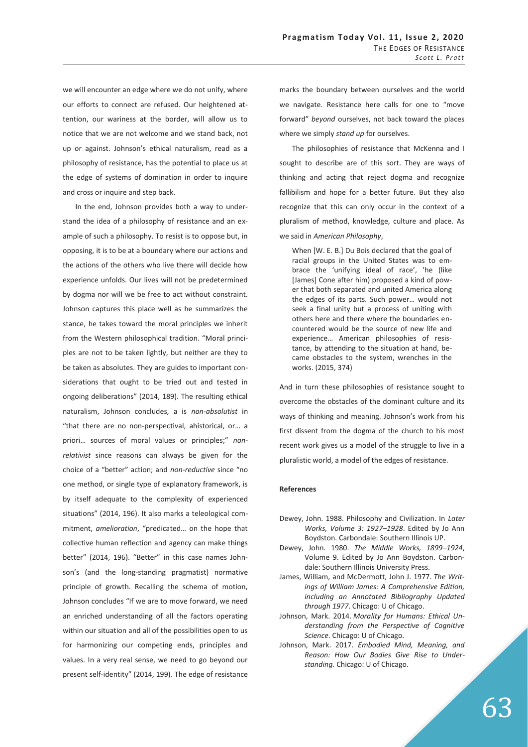we will encounter an edge where we do not unify, where our efforts to connect are refused. Our heightened attention, our wariness at the border, will allow us to notice that we are not welcome and we stand back, not up or against. Johnson's ethical naturalism, read as a philosophy of resistance, has the potential to place us at the edge of systems of domination in order to inquire and cross or inquire and step back.

In the end, Johnson provides both a way to understand the idea of a philosophy of resistance and an example of such a philosophy. To resist is to oppose but, in opposing, it is to be at a boundary where our actions and the actions of the others who live there will decide how experience unfolds. Our lives will not be predetermined by dogma nor will we be free to act without constraint. Johnson captures this place well as he summarizes the stance, he takes toward the moral principles we inherit from the Western philosophical tradition. "Moral principles are not to be taken lightly, but neither are they to be taken as absolutes. They are guides to important considerations that ought to be tried out and tested in ongoing deliberations" (2014, 189). The resulting ethical naturalism, Johnson concludes, a is *non-absolutist* in "that there are no non-perspectival, ahistorical, or… a priori… sources of moral values or principles;" *nonrelativist* since reasons can always be given for the choice of a "better" action; and *non-reductive* since "no one method, or single type of explanatory framework, is by itself adequate to the complexity of experienced situations" (2014, 196). It also marks a teleological commitment, *amelioration*, "predicated… on the hope that collective human reflection and agency can make things better" (2014, 196). "Better" in this case names Johnson's (and the long-standing pragmatist) normative principle of growth. Recalling the schema of motion, Johnson concludes "If we are to move forward, we need an enriched understanding of all the factors operating within our situation and all of the possibilities open to us for harmonizing our competing ends, principles and values. In a very real sense, we need to go beyond our present self-identity" (2014, 199). The edge of resistance

marks the boundary between ourselves and the world we navigate. Resistance here calls for one to "move forward" *beyond* ourselves, not back toward the places where we simply *stand up* for ourselves.

The philosophies of resistance that McKenna and I sought to describe are of this sort. They are ways of thinking and acting that reject dogma and recognize fallibilism and hope for a better future. But they also recognize that this can only occur in the context of a pluralism of method, knowledge, culture and place. As we said in *American Philosophy*,

When [W. E. B.] Du Bois declared that the goal of racial groups in the United States was to embrace the 'unifying ideal of race', 'he (like [James] Cone after him) proposed a kind of power that both separated and united America along the edges of its parts. Such power… would not seek a final unity but a process of uniting with others here and there where the boundaries encountered would be the source of new life and experience… American philosophies of resistance, by attending to the situation at hand, became obstacles to the system, wrenches in the works. (2015, 374)

And in turn these philosophies of resistance sought to overcome the obstacles of the dominant culture and its ways of thinking and meaning. Johnson's work from his first dissent from the dogma of the church to his most recent work gives us a model of the struggle to live in a pluralistic world, a model of the edges of resistance.

## **References**

- Dewey, John. 1988. Philosophy and Civilization. In *Later Works, Volume 3: 1927*–*1928*. Edited by Jo Ann Boydston. Carbondale: Southern Illinois UP.
- Dewey, John. 1980. *The Middle Works, 1899*–*1924*, Volume 9. Edited by Jo Ann Boydston. Carbondale: Southern Illinois University Press.
- James, William, and McDermott, John J. 1977. *The Writings of William James: A Comprehensive Edition, including an Annotated Bibliography Updated through 1977*. Chicago: U of Chicago.
- Johnson, Mark. 2014. *Morality for Humans: Ethical Understanding from the Perspective of Cognitive Science*. Chicago: U of Chicago.
- Johnson, Mark. 2017. *Embodied Mind, Meaning, and Reason: How Our Bodies Give Rise to Understanding.* Chicago: U of Chicago.